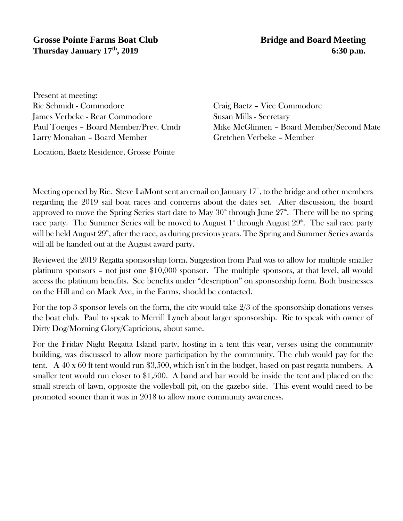## **Grosse Pointe Farms Boat Club** Bridge and Board Meeting **Thursday January 17<sup>th</sup>, 2019** 6:30 p.m.

Present at meeting: Ric Schmidt - Commodore Craig Baetz – Vice Commodore James Verbeke - Rear Commodore Susan Mills - Secretary Larry Monahan - Board Member Gretchen Verbeke - Member

Location, Baetz Residence, Grosse Pointe

Paul Toenjes - Board Member/Prev. Cmdr Mike McGlinnen - Board Member/Second Mate

Meeting opened by Ric. Steve LaMont sent an email on January  $17<sup>th</sup>$ , to the bridge and other members regarding the 2019 sail boat races and concerns about the dates set. After discussion, the board approved to move the Spring Series start date to May  $30^{\circ}$  through June  $27^{\circ}$ . There will be no spring race party. The Summer Series will be moved to August  $1^*$  through August  $29^{\text{th}}$ . The sail race party will be held August  $29^{\text{\tiny th}}$ , after the race, as during previous years. The Spring and Summer Series awards will all be handed out at the August award party.

Reviewed the 2019 Regatta sponsorship form. Suggestion from Paul was to allow for multiple smaller platinum sponsors – not just one \$10,000 sponsor. The multiple sponsors, at that level, all would access the platinum benefits. See benefits under "description" on sponsorship form. Both businesses on the Hill and on Mack Ave, in the Farms, should be contacted.

For the top 3 sponsor levels on the form, the city would take 2/3 of the sponsorship donations verses the boat club. Paul to speak to Merrill Lynch about larger sponsorship. Ric to speak with owner of Dirty Dog/Morning Glory/Capricious, about same.

For the Friday Night Regatta Island party, hosting in a tent this year, verses using the community building, was discussed to allow more participation by the community. The club would pay for the tent. A 40 x 60 ft tent would run \$3,500, which isn't in the budget, based on past regatta numbers. A smaller tent would run closer to \$1,500. A band and bar would be inside the tent and placed on the small stretch of lawn, opposite the volleyball pit, on the gazebo side. This event would need to be promoted sooner than it was in 2018 to allow more community awareness.